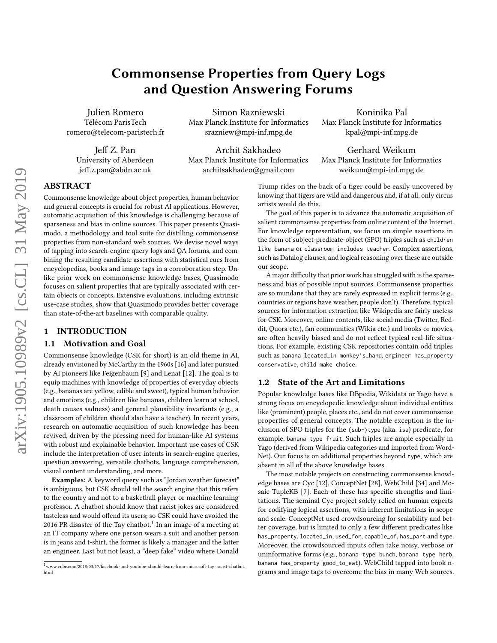## Commonsense Properties from Query Logs and Question Answering Forums

Julien Romero Télécom ParisTech romero@telecom-paristech.fr

Jeff Z. Pan University of Aberdeen jeff.z.pan@abdn.ac.uk

Simon Razniewski Max Planck Institute for Informatics srazniew@mpi-inf.mpg.de

Archit Sakhadeo Max Planck Institute for Informatics architsakhadeo@gmail.com

Koninika Pal Max Planck Institute for Informatics kpal@mpi-inf.mpg.de

Gerhard Weikum Max Planck Institute for Informatics weikum@mpi-inf.mpg.de

# ABSTRACT

Commonsense knowledge about object properties, human behavior and general concepts is crucial for robust AI applications. However, automatic acquisition of this knowledge is challenging because of sparseness and bias in online sources. This paper presents Quasimodo, a methodology and tool suite for distilling commonsense properties from non-standard web sources. We devise novel ways of tapping into search-engine query logs and QA forums, and combining the resulting candidate assertions with statistical cues from encyclopedias, books and image tags in a corroboration step. Unlike prior work on commonsense knowledge bases, Quasimodo focuses on salient properties that are typically associated with certain objects or concepts. Extensive evaluations, including extrinsic use-case studies, show that Quasimodo provides better coverage than state-of-the-art baselines with comparable quality.

## 1 INTRODUCTION

#### 1.1 Motivation and Goal

Commonsense knowledge (CSK for short) is an old theme in AI, already envisioned by McCarthy in the 1960s [\[16\]](#page-9-0) and later pursued by AI pioneers like Feigenbaum [\[9\]](#page-9-1) and Lenat [\[12\]](#page-9-2). The goal is to equip machines with knowledge of properties of everyday objects (e.g., bananas are yellow, edible and sweet), typical human behavior and emotions (e.g., children like bananas, children learn at school, death causes sadness) and general plausibility invariants (e.g., a classroom of children should also have a teacher). In recent years, research on automatic acquisition of such knowledge has been revived, driven by the pressing need for human-like AI systems with robust and explainable behavior. Important use cases of CSK include the interpretation of user intents in search-engine queries, question answering, versatile chatbots, language comprehension, visual content understanding, and more.

Examples: A keyword query such as "Jordan weather forecast" is ambiguous, but CSK should tell the search engine that this refers to the country and not to a basketball player or machine learning professor. A chatbot should know that racist jokes are considered tasteless and would offend its users; so CSK could have avoided the 20[1](#page-0-0)6 PR disaster of the Tay chatbot.<sup>1</sup> In an image of a meeting at an IT company where one person wears a suit and another person is in jeans and t-shirt, the former is likely a manager and the latter an engineer. Last but not least, a "deep fake" video where Donald Trump rides on the back of a tiger could be easily uncovered by knowing that tigers are wild and dangerous and, if at all, only circus artists would do this.

The goal of this paper is to advance the automatic acquisition of salient commonsense properties from online content of the Internet. For knowledge representation, we focus on simple assertions in the form of subject-predicate-object (SPO) triples such as children like banana or classroom includes teacher. Complex assertions, such as Datalog clauses, and logical reasoning over these are outside our scope.

A major difficulty that prior work has struggled with is the sparseness and bias of possible input sources. Commonsense properties are so mundane that they are rarely expressed in explicit terms (e.g., countries or regions have weather, people don't). Therefore, typical sources for information extraction like Wikipedia are fairly useless for CSK. Moreover, online contents, like social media (Twitter, Reddit, Quora etc.), fan communities (Wikia etc.) and books or movies, are often heavily biased and do not reflect typical real-life situations. For example, existing CSK repositories contain odd triples such as banana located\_in monkey's\_hand, engineer has\_property conservative, child make choice.

### 1.2 State of the Art and Limitations

Popular knowledge bases like DBpedia, Wikidata or Yago have a strong focus on encyclopedic knowledge about individual entities like (prominent) people, places etc., and do not cover commonsense properties of general concepts. The notable exception is the inclusion of SPO triples for the (sub-)type (aka. isa) predicate, for example, banana type fruit. Such triples are ample especially in Yago (derived from Wikipedia categories and imported from Word-Net). Our focus is on additional properties beyond type, which are absent in all of the above knowledge bases.

The most notable projects on constructing commonsense knowledge bases are Cyc [\[12\]](#page-9-2), ConceptNet [\[28\]](#page-9-3), WebChild [\[34\]](#page-9-4) and Mosaic TupleKB [\[7\]](#page-9-5). Each of these has specific strengths and limitations. The seminal Cyc project solely relied on human experts for codifying logical assertions, with inherent limitations in scope and scale. ConceptNet used crowdsourcing for scalability and better coverage, but is limited to only a few different predicates like has\_property, located\_in, used\_for, capable\_of, has\_part and type. Moreover, the crowdsourced inputs often take noisy, verbose or uninformative forms (e.g., banana type bunch, banana type herb, banana has\_property good\_to\_eat). WebChild tapped into book ngrams and image tags to overcome the bias in many Web sources.

<span id="page-0-0"></span><sup>1</sup>[www.cnbc.com/2018/03/17/facebook-and-youtube-should-learn- from-microsoft- tay-racist-chatb](www.cnbc.com/2018/03/17/facebook-and-youtube-should-learn-from-microsoft-tay-racist-chatbot.html)ot. [html](www.cnbc.com/2018/03/17/facebook-and-youtube-should-learn-from-microsoft-tay-racist-chatbot.html)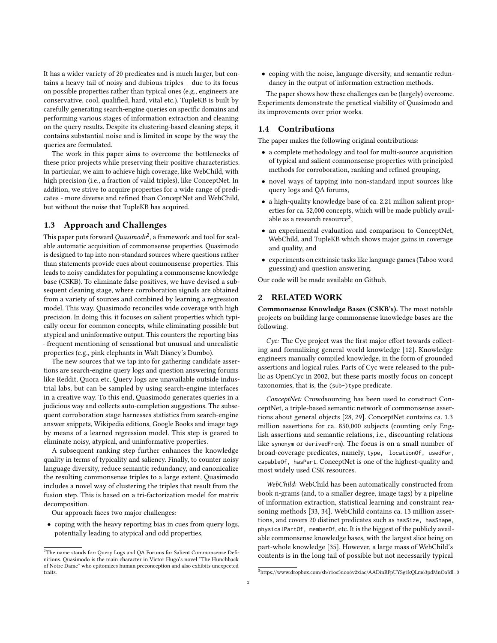It has a wider variety of 20 predicates and is much larger, but contains a heavy tail of noisy and dubious triples – due to its focus on possible properties rather than typical ones (e.g., engineers are conservative, cool, qualified, hard, vital etc.). TupleKB is built by carefully generating search-engine queries on specific domains and performing various stages of information extraction and cleaning on the query results. Despite its clustering-based cleaning steps, it contains substantial noise and is limited in scope by the way the queries are formulated.

The work in this paper aims to overcome the bottlenecks of these prior projects while preserving their positive characteristics. In particular, we aim to achieve high coverage, like WebChild, with high precision (i.e., a fraction of valid triples), like ConceptNet. In addition, we strive to acquire properties for a wide range of predicates - more diverse and refined than ConceptNet and WebChild, but without the noise that TupleKB has acquired.

#### 1.3 Approach and Challenges

This paper puts forward  $Quasimodo^2$  $Quasimodo^2$ , a framework and tool for scalable automatic acquisition of commonsense properties. Quasimodo is designed to tap into non-standard sources where questions rather than statements provide cues about commonsense properties. This leads to noisy candidates for populating a commonsense knowledge base (CSKB). To eliminate false positives, we have devised a subsequent cleaning stage, where corroboration signals are obtained from a variety of sources and combined by learning a regression model. This way, Quasimodo reconciles wide coverage with high precision. In doing this, it focuses on salient properties which typically occur for common concepts, while eliminating possible but atypical and uninformative output. This counters the reporting bias - frequent mentioning of sensational but unusual and unrealistic properties (e.g., pink elephants in Walt Disney's Dumbo).

The new sources that we tap into for gathering candidate assertions are search-engine query logs and question answering forums like Reddit, Quora etc. Query logs are unavailable outside industrial labs, but can be sampled by using search-engine interfaces in a creative way. To this end, Quasimodo generates queries in a judicious way and collects auto-completion suggestions. The subsequent corroboration stage harnesses statistics from search-engine answer snippets, Wikipedia editions, Google Books and image tags by means of a learned regression model. This step is geared to eliminate noisy, atypical, and uninformative properties.

A subsequent ranking step further enhances the knowledge quality in terms of typicality and saliency. Finally, to counter noisy language diversity, reduce semantic redundancy, and canonicalize the resulting commonsense triples to a large extent, Quasimodo includes a novel way of clustering the triples that result from the fusion step. This is based on a tri-factorization model for matrix decomposition.

Our approach faces two major challenges:

• coping with the heavy reporting bias in cues from query logs, potentially leading to atypical and odd properties,

• coping with the noise, language diversity, and semantic redundancy in the output of information extraction methods.

The paper shows how these challenges can be (largely) overcome. Experiments demonstrate the practical viability of Quasimodo and its improvements over prior works.

## 1.4 Contributions

The paper makes the following original contributions:

- a complete methodology and tool for multi-source acquisition of typical and salient commonsense properties with principled methods for corroboration, ranking and refined grouping,
- novel ways of tapping into non-standard input sources like query logs and QA forums,
- a high-quality knowledge base of ca. 2.21 million salient properties for ca. 52,000 concepts, which will be made publicly avail-able as a research resource<sup>[3](#page-1-1)</sup>,
- an experimental evaluation and comparison to ConceptNet, WebChild, and TupleKB which shows major gains in coverage and quality, and
- experiments on extrinsic tasks like language games (Taboo word guessing) and question answering.

Our code will be made available on Github.

#### 2 RELATED WORK

Commonsense Knowledge Bases (CSKB's). The most notable projects on building large commonsense knowledge bases are the following.

 $Cyc$ : The Cyc project was the first major effort towards collecting and formalizing general world knowledge [\[12\]](#page-9-2). Knowledge engineers manually compiled knowledge, in the form of grounded assertions and logical rules. Parts of Cyc were released to the public as OpenCyc in 2002, but these parts mostly focus on concept taxonomies, that is, the (sub-)type predicate.

ConceptNet: Crowdsourcing has been used to construct ConceptNet, a triple-based semantic network of commonsense assertions about general objects [\[28,](#page-9-3) [29\]](#page-9-6). ConceptNet contains ca. 1.3 million assertions for ca. 850,000 subjects (counting only English assertions and semantic relations, i.e., discounting relations like synonym or derivedFrom). The focus is on a small number of broad-coverage predicates, namely, type, locationOf, usedFor, capableOf, hasPart. ConceptNet is one of the highest-quality and most widely used CSK resources.

WebChild: WebChild has been automatically constructed from book n-grams (and, to a smaller degree, image tags) by a pipeline of information extraction, statistical learning and constraint reasoning methods [\[33,](#page-9-7) [34\]](#page-9-4). WebChild contains ca. 13 million assertions, and covers 20 distinct predicates such as hasSize, hasShape, physicalPartOf, memberOf, etc. It is the biggest of the publicly available commonsense knowledge bases, with the largest slice being on part-whole knowledge [\[35\]](#page-9-8). However, a large mass of WebChild's contents is in the long tail of possible but not necessarily typical

<span id="page-1-0"></span> $^{\rm 2}$  The name stands for: Query Logs and QA Forums for Salient Commonsense Definitions. Quasimodo is the main character in Victor Hugo's novel "The Hunchback of Notre Dame" who epitomizes human preconception and also exhibits unexpected traits.

<span id="page-1-1"></span><sup>3</sup>https://www.dropbox.com/sh/r1os5uoo6v2xiac/AADinRFpUYSg1kQLm63pdMnOa?dl=0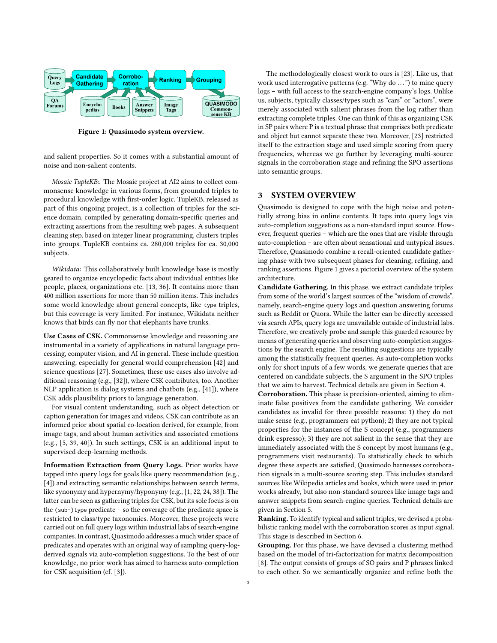<span id="page-2-0"></span>

Figure 1: Quasimodo system overview.

and salient properties. So it comes with a substantial amount of noise and non-salient contents.

Mosaic TupleKB:. The Mosaic project at AI2 aims to collect commonsense knowledge in various forms, from grounded triples to procedural knowledge with first-order logic. TupleKB, released as part of this ongoing project, is a collection of triples for the science domain, compiled by generating domain-specific queries and extracting assertions from the resulting web pages. A subsequent cleaning step, based on integer linear programming, clusters triples into groups. TupleKB contains ca. 280,000 triples for ca. 30,000 subjects.

Wikidata: This collaboratively built knowledge base is mostly geared to organize encyclopedic facts about individual entities like people, places, organizations etc. [\[13,](#page-9-9) [36\]](#page-9-10). It contains more than 400 million assertions for more than 50 million items. This includes some world knowledge about general concepts, like type triples, but this coverage is very limited. For instance, Wikidata neither knows that birds can fly nor that elephants have trunks.

Use Cases of CSK. Commonsense knowledge and reasoning are instrumental in a variety of applications in natural language processing, computer vision, and AI in general. These include question answering, especially for general world comprehension [\[42\]](#page-9-11) and science questions [\[27\]](#page-9-12). Sometimes, these use cases also involve additional reasoning (e.g., [\[32\]](#page-9-13)), where CSK contributes, too. Another NLP application is dialog systems and chatbots (e.g., [\[41\]](#page-9-14)), where CSK adds plausibility priors to language generation.

For visual content understanding, such as object detection or caption generation for images and videos, CSK can contribute as an informed prior about spatial co-location derived, for example, from image tags, and about human activities and associated emotions (e.g., [\[5,](#page-9-15) [39,](#page-9-16) [40\]](#page-9-17)). In such settings, CSK is an additional input to supervised deep-learning methods.

Information Extraction from Query Logs. Prior works have tapped into query logs for goals like query recommendation (e.g., [\[4\]](#page-9-18)) and extracting semantic relationships between search terms, like synonymy and hypernymy/hyponymy (e.g., [\[1,](#page-9-19) [22,](#page-9-20) [24,](#page-9-21) [38\]](#page-9-22)). The latter can be seen as gathering triples for CSK, but its sole focus is on the (sub-)type predicate – so the coverage of the predicate space is restricted to class/type taxonomies. Moreover, these projects were carried out on full query logs within industrial labs of search-engine companies. In contrast, Quasimodo addresses a much wider space of predicates and operates with an original way of sampling query-logderived signals via auto-completion suggestions. To the best of our knowledge, no prior work has aimed to harness auto-completion for CSK acquisition (cf. [\[3\]](#page-9-23)).

The methodologically closest work to ours is [\[23\]](#page-9-24). Like us, that work used interrogative patterns (e.g. "Why do ...") to mine query logs – with full access to the search-engine company's logs. Unlike us, subjects, typically classes/types such as "cars" or "actors", were merely associated with salient phrases from the log rather than extracting complete triples. One can think of this as organizing CSK in SP pairs where P is a textual phrase that comprises both predicate and object but cannot separate these two. Moreover, [\[23\]](#page-9-24) restricted itself to the extraction stage and used simple scoring from query frequencies, whereas we go further by leveraging multi-source signals in the corroboration stage and refining the SPO assertions into semantic groups.

## 3 SYSTEM OVERVIEW

Quasimodo is designed to cope with the high noise and potentially strong bias in online contents. It taps into query logs via auto-completion suggestions as a non-standard input source. However, frequent queries – which are the ones that are visible through auto-completion – are often about sensational and untypical issues. Therefore, Quasimodo combine a recall-oriented candidate gathering phase with two subsequent phases for cleaning, refining, and ranking assertions. Figure [1](#page-2-0) gives a pictorial overview of the system architecture.

Candidate Gathering. In this phase, we extract candidate triples from some of the world's largest sources of the "wisdom of crowds", namely, search-engine query logs and question answering forums such as Reddit or Quora. While the latter can be directly accessed via search APIs, query logs are unavailable outside of industrial labs. Therefore, we creatively probe and sample this guarded resource by means of generating queries and observing auto-completion suggestions by the search engine. The resulting suggestions are typically among the statistically frequent queries. As auto-completion works only for short inputs of a few words, we generate queries that are centered on candidate subjects, the S argument in the SPO triples that we aim to harvest. Technical details are given in Section [4.](#page-3-0)

Corroboration. This phase is precision-oriented, aiming to eliminate false positives from the candidate gathering. We consider candidates as invalid for three possible reasons: 1) they do not make sense (e.g., programmers eat python); 2) they are not typical properties for the instances of the S concept (e.g., programmers drink espresso); 3) they are not salient in the sense that they are immediately associated with the S concept by most humans (e.g., programmers visit restaurants). To statistically check to which degree these aspects are satisfied, Quasimodo harnesses corroboration signals in a multi-source scoring step. This includes standard sources like Wikipedia articles and books, which were used in prior works already, but also non-standard sources like image tags and answer snippets from search-engine queries. Technical details are given in Section [5.](#page-4-0)

Ranking. To identify typical and salient triples, we devised a probabilistic ranking model with the corroboration scores as input signal. This stage is described in Section [6.](#page-4-1)

Grouping. For this phase, we have devised a clustering method based on the model of tri-factorization for matrix decomposition [\[8\]](#page-9-25). The output consists of groups of SO pairs and P phrases linked to each other. So we semantically organize and refine both the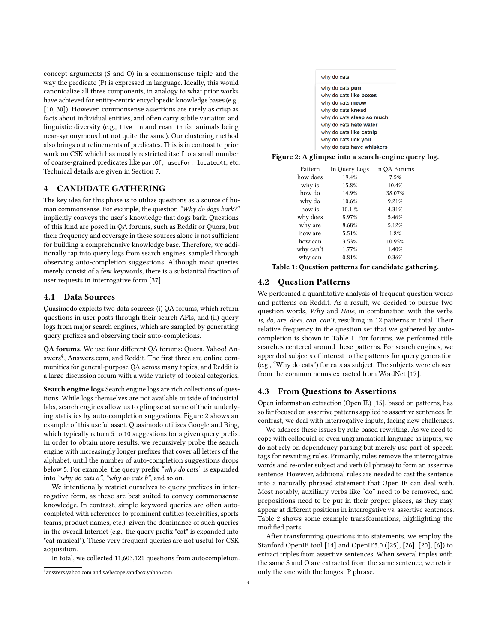concept arguments (S and O) in a commonsense triple and the way the predicate (P) is expressed in language. Ideally, this would canonicalize all three components, in analogy to what prior works have achieved for entity-centric encyclopedic knowledge bases (e.g., [\[10,](#page-9-26) [30\]](#page-9-27)). However, commonsense assertions are rarely as crisp as facts about individual entities, and often carry subtle variation and linguistic diversity (e.g., live in and roam in for animals being near-synonymous but not quite the same). Our clustering method also brings out refinements of predicates. This is in contrast to prior work on CSK which has mostly restricted itself to a small number of coarse-grained predicates like partOf, usedFor, locatedAt, etc. Technical details are given in Section [7.](#page-5-0)

## <span id="page-3-0"></span>4 CANDIDATE GATHERING

The key idea for this phase is to utilize questions as a source of human commonsense. For example, the question "Why do dogs bark?" implicitly conveys the user's knowledge that dogs bark. Questions of this kind are posed in QA forums, such as Reddit or Quora, but their frequency and coverage in these sources alone is not sufficient for building a comprehensive knowledge base. Therefore, we additionally tap into query logs from search engines, sampled through observing auto-completion suggestions. Although most queries merely consist of a few keywords, there is a substantial fraction of user requests in interrogative form [\[37\]](#page-9-28).

#### 4.1 Data Sources

Quasimodo exploits two data sources: (i) QA forums, which return questions in user posts through their search APIs, and (ii) query logs from major search engines, which are sampled by generating query prefixes and observing their auto-completions.

QA forums. We use four different QA forums: Quora, Yahoo! An-swers<sup>[4](#page-3-1)</sup>, Answers.com, and Reddit. The first three are online communities for general-purpose QA across many topics, and Reddit is a large discussion forum with a wide variety of topical categories.

Search engine logs Search engine logs are rich collections of questions. While logs themselves are not available outside of industrial labs, search engines allow us to glimpse at some of their underlying statistics by auto-completion suggestions. Figure [2](#page-3-2) shows an example of this useful asset. Quasimodo utilizes Google and Bing, which typically return 5 to 10 suggestions for a given query prefix. In order to obtain more results, we recursively probe the search engine with increasingly longer prefixes that cover all letters of the alphabet, until the number of auto-completion suggestions drops below 5. For example, the query prefix "why do cats" is expanded into "why do cats  $a$ ", "why do cats  $b$ ", and so on.

We intentionally restrict ourselves to query prefixes in interrogative form, as these are best suited to convey commonsense knowledge. In contrast, simple keyword queries are often autocompleted with references to prominent entities (celebrities, sports teams, product names, etc.), given the dominance of such queries in the overall Internet (e.g., the query prefix "cat" is expanded into "cat musical"). These very frequent queries are not useful for CSK acquisition.

In total, we collected 11,603,121 questions from autocompletion.

| <b>4.2 Question Patterns</b>                                            |
|-------------------------------------------------------------------------|
| We performed a quantitative analysis of frequent question words         |
| and patterns on Reddit. As a result, we decided to pursue two           |
| question words, Why and How, in combination with the verbs              |
| is, do, are, does, can, can't, resulting in 12 patterns in total. Their |

question words, Why and How, in combination with the verbs is, do, are, does, can, can't, resulting in 12 patterns in total. Their relative frequency in the question set that we gathered by autocompletion is shown in Table [1.](#page-3-3) For forums, we performed title searches centered around these patterns. For search engines, we appended subjects of interest to the patterns for query generation (e.g., "Why do cats") for cats as subject. The subjects were chosen from the common nouns extracted from WordNet [\[17\]](#page-9-29).

#### 4.3 From Questions to Assertions

Open information extraction (Open IE) [\[15\]](#page-9-30), based on patterns, has so far focused on assertive patterns applied to assertive sentences. In contrast, we deal with interrogative inputs, facing new challenges.

We address these issues by rule-based rewriting. As we need to cope with colloquial or even ungrammatical language as inputs, we do not rely on dependency parsing but merely use part-of-speech tags for rewriting rules. Primarily, rules remove the interrogative words and re-order subject and verb (al phrase) to form an assertive sentence. However, additional rules are needed to cast the sentence into a naturally phrased statement that Open IE can deal with. Most notably, auxiliary verbs like "do" need to be removed, and prepositions need to be put in their proper places, as they may appear at different positions in interrogative vs. assertive sentences. Table [2](#page-4-2) shows some example transformations, highlighting the modified parts.

After transforming questions into statements, we employ the Stanford OpenIE tool [\[14\]](#page-9-31) and OpenIE5.0 ([\[25\]](#page-9-32), [\[26\]](#page-9-33), [\[20\]](#page-9-34), [\[6\]](#page-9-35)) to extract triples from assertive sentences. When several triples with the same S and O are extracted from the same sentence, we retain only the one with the longest P phrase.

<span id="page-3-2"></span>

| why do cats                   |
|-------------------------------|
| why do cats <b>purr</b>       |
| why do cats like boxes        |
| why do cats <b>meow</b>       |
| why do cats knead             |
| why do cats sleep so much     |
| why do cats <b>hate water</b> |
| why do cats like catnip       |
| why do cats <b>lick you</b>   |
| why do esta hous whiskers     |

<span id="page-3-3"></span>Figure 2: A glimpse into a search-engine query log. Pattern In Query Logs In QA Forums

how does 19.4% 7.5% why is 15.8% 10.4% how do  $14.9\%$  38.07% why do  $10.6\%$  9.21% how is 10.1 % 4.31% why does 8.97% 5.46% why are  $8.68\%$  5.12% how are  $5.51\%$  1.8% how can 3.53% 10.95% why can't 1.77% 1.40% why can  $0.81\%$  0.36% Table 1: Question patterns for candidate gathering.

| why do cats knead            |  |
|------------------------------|--|
| why do cats sleep so much    |  |
| why do cats hate water       |  |
| why do cats like catnip      |  |
| why do cats lick you         |  |
| why do cats have whiskers    |  |
| glimpse into a search-engine |  |

<span id="page-3-1"></span><sup>4</sup> answers.yahoo.com and webscope.sandbox.yahoo.com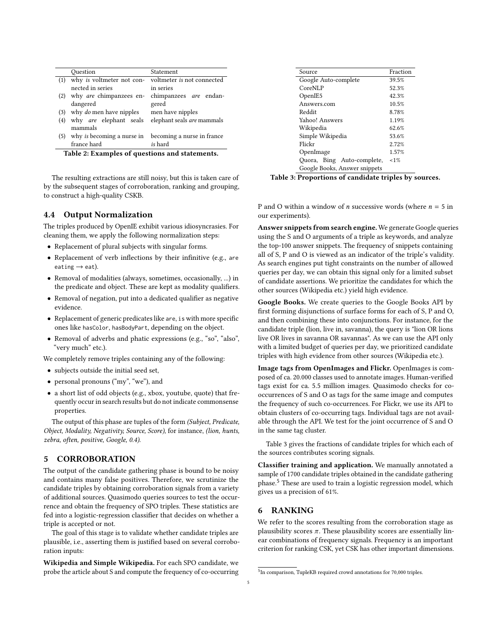<span id="page-4-2"></span>

|                                               | Ouestion                       | Statement                                           |  |  |  |  |  |
|-----------------------------------------------|--------------------------------|-----------------------------------------------------|--|--|--|--|--|
| (1)                                           |                                | why is voltmeter not con-voltmeter is not connected |  |  |  |  |  |
|                                               | nected in series               | in series                                           |  |  |  |  |  |
| (2)                                           | why are chimpanzees en-        | chimpanzees are endan-                              |  |  |  |  |  |
|                                               | dangered                       | gered                                               |  |  |  |  |  |
| (3)                                           | why <i>do</i> men have nipples | men have nipples                                    |  |  |  |  |  |
| (4)                                           | why are elephant seals         | elephant seals are mammals                          |  |  |  |  |  |
|                                               | mammals                        |                                                     |  |  |  |  |  |
| (5)                                           | why is becoming a nurse in     | becoming a nurse in france                          |  |  |  |  |  |
|                                               | france hard                    | is hard                                             |  |  |  |  |  |
| Table 2. Evamples of questions and statements |                                |                                                     |  |  |  |  |  |

Table 2: Examples of questions and statements.

The resulting extractions are still noisy, but this is taken care of by the subsequent stages of corroboration, ranking and grouping, to construct a high-quality CSKB.

## 4.4 Output Normalization

The triples produced by OpenIE exhibit various idiosyncrasies. For cleaning them, we apply the following normalization steps:

- Replacement of plural subjects with singular forms.
- Replacement of verb inflections by their infinitive (e.g., are eating  $\rightarrow$  eat).
- Removal of modalities (always, sometimes, occasionally, ...) in the predicate and object. These are kept as modality qualifiers.
- Removal of negation, put into a dedicated qualifier as negative evidence.
- Replacement of generic predicates like are, is with more specific ones like hasColor, hasBodyPart, depending on the object.
- Removal of adverbs and phatic expressions (e.g., "so", "also", "very much" etc.).

We completely remove triples containing any of the following:

- subjects outside the initial seed set,
- personal pronouns ("my", "we"), and
- a short list of odd objects (e.g., xbox, youtube, quote) that frequently occur in search results but do not indicate commonsense properties.

The output of this phase are tuples of the form (Subject, Predicate, Object, Modality, Negativity, Source, Score), for instance, (lion, hunts, zebra, often, positive, Google, 0.4).

## <span id="page-4-0"></span>5 CORROBORATION

The output of the candidate gathering phase is bound to be noisy and contains many false positives. Therefore, we scrutinize the candidate triples by obtaining corroboration signals from a variety of additional sources. Quasimodo queries sources to test the occurrence and obtain the frequency of SPO triples. These statistics are fed into a logistic-regression classifier that decides on whether a triple is accepted or not.

The goal of this stage is to validate whether candidate triples are plausible, i.e., asserting them is justified based on several corroboration inputs:

Wikipedia and Simple Wikipedia. For each SPO candidate, we probe the article about S and compute the frequency of co-occurring

<span id="page-4-3"></span>

| Source                        | Fraction |
|-------------------------------|----------|
| Google Auto-complete          | 39.5%    |
| CoreNLP                       | 52.3%    |
| OpenIE <sub>5</sub>           | 42.3%    |
| Answers.com                   | 10.5%    |
| Reddit                        | 8.78%    |
| Yahoo! Answers                | 1.19%    |
| Wikipedia                     | 62.6%    |
| Simple Wikipedia              | 53.6%    |
| Flickr                        | 2.72%    |
| OpenImage                     | 1.57%    |
| Quora, Bing Auto-complete,    | $1\%$    |
| Google Books, Answer snippets |          |

Table 3: Proportions of candidate triples by sources.

P and O within a window of *n* successive words (where  $n = 5$  in our experiments).

Answer snippets from search engine. We generate Google queries using the S and O arguments of a triple as keywords, and analyze the top-100 answer snippets. The frequency of snippets containing all of S, P and O is viewed as an indicator of the triple's validity. As search engines put tight constraints on the number of allowed queries per day, we can obtain this signal only for a limited subset of candidate assertions. We prioritize the candidates for which the other sources (Wikipedia etc.) yield high evidence.

Google Books. We create queries to the Google Books API by first forming disjunctions of surface forms for each of S, P and O, and then combining these into conjunctions. For instance, for the candidate triple (lion, live in, savanna), the query is "lion OR lions live OR lives in savanna OR savannas". As we can use the API only with a limited budget of queries per day, we prioritized candidate triples with high evidence from other sources (Wikipedia etc.).

Image tags from OpenImages and Flickr. OpenImages is composed of ca. 20.000 classes used to annotate images. Human-verified tags exist for ca. 5.5 million images. Quasimodo checks for cooccurrences of S and O as tags for the same image and computes the frequency of such co-occurrences. For Flickr, we use its API to obtain clusters of co-occurring tags. Individual tags are not available through the API. We test for the joint occurrence of S and O in the same tag cluster.

Table [3](#page-4-3) gives the fractions of candidate triples for which each of the sources contributes scoring signals.

Classifier training and application. We manually annotated a sample of 1700 candidate triples obtained in the candidate gathering phase.[5](#page-4-4) These are used to train a logistic regression model, which gives us a precision of 61%.

#### <span id="page-4-1"></span>6 RANKING

We refer to the scores resulting from the corroboration stage as plausibility scores  $\pi$ . These plausibility scores are essentially linear combinations of frequency signals. Frequency is an important criterion for ranking CSK, yet CSK has other important dimensions.

<span id="page-4-4"></span><sup>5</sup> In comparison, TupleKB required crowd annotations for 70,000 triples.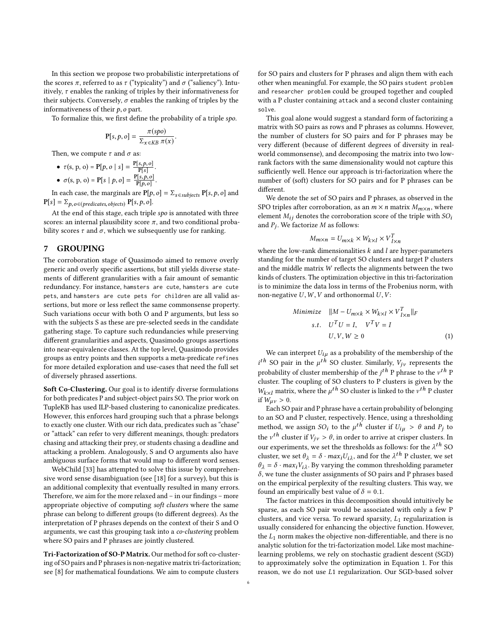In this section we propose two probabilistic interpretations of the scores π, referred to as τ ("typicality") and  $σ$  ("saliency"). Intuitively,  $\tau$  enables the ranking of triples by their informativeness for their subjects. Conversely,  $\sigma$  enables the ranking of triples by the informativeness of their  $p$ ,  $o$  part.

To formalize this, we first define the probability of a triple spo.

$$
\mathbf{P}[s, p, o] = \frac{\pi(spo)}{\Sigma_{x \in KB} \pi(x)}.
$$

Then, we compute  $\tau$  and  $\sigma$  as:

• 
$$
\tau(s, p, o) = P[p, o | s] = \frac{P[s, p, o]}{P[s]}
$$
.  
\n•  $\sigma(s, p, o) = P[s | p, o] = \frac{P[s, p, o]}{P[p, o]}$ .

 $\overline{P[p,o]}$ . In each case, the marginals are  $\mathbf{P}[p,o]=\Sigma_{s\in\mathit{subjects}}\,\mathbf{P}[s,p,o]$  and  $P[s] = \sum_{p, o \in (predicates, objects)} P[s, p, o].$ 

At the end of this stage, each triple spo is annotated with three scores: an internal plausibility score  $\pi$ , and two conditional probability scores  $\tau$  and  $\sigma$ , which we subsequently use for ranking.

#### <span id="page-5-0"></span>7 GROUPING

The corroboration stage of Quasimodo aimed to remove overly generic and overly specific assertions, but still yields diverse statements of different granularities with a fair amount of semantic redundancy. For instance, hamsters are cute, hamsters are cute pets, and hamsters are cute pets for children are all valid assertions, but more or less reflect the same commonsense property. Such variations occur with both O and P arguments, but less so with the subjects S as these are pre-selected seeds in the candidate gathering stage. To capture such redundancies while preserving different granularities and aspects, Quasimodo groups assertions into near-equivalence classes. At the top level, Quasimodo provides groups as entry points and then supports a meta-predicate refines for more detailed exploration and use-cases that need the full set of diversely phrased assertions.

Soft Co-Clustering. Our goal is to identify diverse formulations for both predicates P and subject-object pairs SO. The prior work on TupleKB has used ILP-based clustering to canonicalize predicates. However, this enforces hard grouping such that a phrase belongs to exactly one cluster. With our rich data, predicates such as "chase" or "attack" can refer to very different meanings, though: predators chasing and attacking their prey, or students chasing a deadline and attacking a problem. Analogously, S and O arguments also have ambiguous surface forms that would map to different word senses.

WebChild [\[33\]](#page-9-7) has attempted to solve this issue by comprehensive word sense disambiguation (see [\[18\]](#page-9-36) for a survey), but this is an additional complexity that eventually resulted in many errors. Therefore, we aim for the more relaxed and – in our findings – more appropriate objective of computing soft clusters where the same phrase can belong to different groups (to different degrees). As the interpretation of P phrases depends on the context of their S and O arguments, we cast this grouping task into a co-clustering problem where SO pairs and P phrases are jointly clustered.

Tri-Factorization of SO-P Matrix. Our method for soft co-clustering of SO pairs and P phrases is non-negative matrix tri-factorization; see [\[8\]](#page-9-25) for mathematical foundations. We aim to compute clusters

for SO pairs and clusters for P phrases and align them with each other when meaningful. For example, the SO pairs student problem and researcher problem could be grouped together and coupled with a P cluster containing attack and a second cluster containing solve.

This goal alone would suggest a standard form of factorizing a matrix with SO pairs as rows and P phrases as columns. However, the number of clusters for SO pairs and for P phrases may be very different (because of different degrees of diversity in realworld commonsense), and decomposing the matrix into two lowrank factors with the same dimensionality would not capture this sufficiently well. Hence our approach is tri-factorization where the number of (soft) clusters for SO pairs and for P phrases can be different.

We denote the set of SO pairs and P phrases, as observed in the SPO triples after corroboration, as an  $m \times n$  matrix  $M_{m \times n}$ , where element  $M_{ij}$  denotes the corroboration score of the triple with  $SO_i$ and  $P_j$ . We factorize M as follows:

$$
M_{m \times n} = U_{m \times k} \times W_{k \times l} \times V_{l \times n}^{T}
$$

where the low-rank dimensionalities  $k$  and  $l$  are hyper-parameters<br>standing for the number of target SQ clusters and target B clusters standing for the number of target SO clusters and target P clusters and the middle matrix W reflects the alignments between the two kinds of clusters. The optimization objective in this tri-factorization is to minimize the data loss in terms of the Frobenius norm, with non-negative  $U, W, V$  and orthonormal  $U, V$ :

<span id="page-5-1"></span>Minimize 
$$
||M - U_{m \times k} \times W_{k \times l} \times V_{l \times n}^T||_F
$$
  
s.t.  $U^T U = I$ ,  $V^T V = I$   
 $U, V, W \ge 0$  (1)

We can interpret  $U_{i\mu}$  as a probability of the membership of the probability of cluster membership of the  $j^{th}$  P phrase to the  $v^{th}$  P<br>cluster. The coupling of SO clusters to P clusters is given by the <sup>th</sup> SO pair in the  $\mu^{th}$  SO cluster. Similarly,  $V_{j\nu}$  represents the real politics of electron membership of the *i*<sup>th</sup> B phrase to the *u*<sup>th</sup> B cluster. The coupling of SO clusters to P clusters is given by the  $W_{k \times l}$  matrix, where the  $\mu^{th}$  SO cluster is linked to the  $v^{th}$  P cluster if  $W > 0$ if  $W_{\mu\nu} > 0$ .

Each SO pair and P phrase have a certain probability of belonging to an SO and P cluster, respectively. Hence, using a thresholding method, we assign  $SO_i$  to the  $\mu^{th}$  cluster if  $U_{i\mu} > \theta$  and  $P_j$  to the *uth* cluster if  $V_{i\mu} > \theta$  in order to evidence clusters In the  $v^{th}$  cluster if  $V_{j\nu} > \theta$ , in order to arrive at crisper clusters. In<br>our aux considerants, we get the thresholds as follows: for the  $1^{th}$  SO our experiments, we set the thresholds as follows: for the  $\lambda^{th}$  SO objector we set  $\theta_1 = \delta$ , may  $U_1$ , and for the  $\lambda^{th}$  B objector we set cluster, we set  $\theta_{\lambda} = \delta \cdot max_i U_{i\lambda}$ , and for the  $\lambda^{th}$  P cluster, we set  $\theta_{\lambda} = \delta$ , max.  $V_{\lambda}$ , By varying the common thresholding parameter  $\theta_{\lambda} = \delta \cdot max_i V_{i\lambda}$ . By varying the common thresholding parameter  $\delta$  we tune the cluster assignments of SO pairs and P phrases based  $\delta$ , we tune the cluster assignments of SO pairs and P phrases based on the empirical perplexity of the resulting clusters. This way, we found an empirically best value of  $\delta = 0.1$ .

The factor matrices in this decomposition should intuitively be sparse, as each SO pair would be associated with only a few P clusters, and vice versa. To reward sparsity,  $L_1$  regularization is usually considered for enhancing the objective function. However, the  $L_1$  norm makes the objective non-differentiable, and there is no analytic solution for the tri-factorization model. Like most machinelearning problems, we rely on stochastic gradient descent (SGD) to approximately solve the optimization in Equation [1.](#page-5-1) For this reason, we do not use L<sup>1</sup> regularization. Our SGD-based solver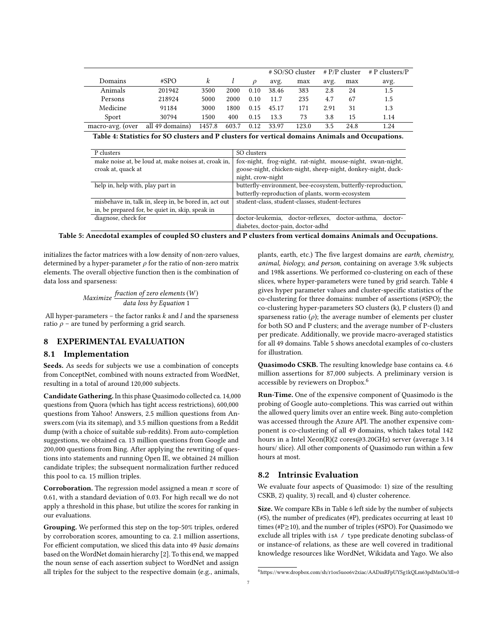<span id="page-6-0"></span>

|                  |                 |        |       |      | # SO/SO cluster |       | $# P/P$ cluster |      | $#P$ clusters/P |
|------------------|-----------------|--------|-------|------|-----------------|-------|-----------------|------|-----------------|
| Domains          | #SPO            | k      |       |      | avg.            | max   | avg.            | max  | avg.            |
| Animals          | 201942          | 3500   | 2000  | 0.10 | 38.46           | 383   | 2.8             | 24   | 1.5             |
| Persons          | 218924          | 5000   | 2000  | 0.10 | 11.7            | 235   | 4.7             | 67   | 1.5             |
| Medicine         | 91184           | 3000   | 1800  | 0.15 | 45.17           | 171   | 2.91            | 31   | 1.3             |
| Sport            | 30794           | 1500   | 400   | 0.15 | 13.3            | 73    | 3.8             | 15   | 1.14            |
| macro-avg. (over | all 49 domains) | 1457.8 | 603.7 | 0.12 | 33.97           | 123.0 | 3.5             | 24.8 | 1.24            |

Table 4: Statistics for SO clusters and P clusters for vertical domains Animals and Occupations.

<span id="page-6-1"></span>

| P clusters                                            | SO clusters                                                   |  |  |  |  |  |
|-------------------------------------------------------|---------------------------------------------------------------|--|--|--|--|--|
| make noise at, be loud at, make noises at, croak in,  | fox-night, frog-night, rat-night, mouse-night, swan-night,    |  |  |  |  |  |
| croak at, quack at                                    | goose-night, chicken-night, sheep-night, donkey-night, duck-  |  |  |  |  |  |
|                                                       | night, crow-night                                             |  |  |  |  |  |
| help in, help with, play part in                      | butterfly-environment, bee-ecosystem, butterfly-reproduction, |  |  |  |  |  |
|                                                       | butterfly-reproduction of plants, worm-ecosystem              |  |  |  |  |  |
| misbehave in, talk in, sleep in, be bored in, act out | student-class, student-classes, student-lectures              |  |  |  |  |  |
| in, be prepared for, be quiet in, skip, speak in      |                                                               |  |  |  |  |  |
| diagnose, check for                                   | doctor-leukemia, doctor-reflexes, doctor-asthma,<br>doctor-   |  |  |  |  |  |
|                                                       | diabetes, doctor-pain, doctor-adhd                            |  |  |  |  |  |

Table 5: Anecdotal examples of coupled SO clusters and P clusters from vertical domains Animals and Occupations.

initializes the factor matrices with a low density of non-zero values, determined by a hyper-parameter  $\rho$  for the ratio of non-zero matrix elements. The overall objective function then is the combination of data loss and sparseness:

Maximize  $\frac{\text{fraction of zero elements (W)}}{\text{data loss by Equation 1}}$  $\frac{\text{fraction of zero elements (W)}}{\text{data loss by Equation 1}}$  $\frac{\text{fraction of zero elements (W)}}{\text{data loss by Equation 1}}$ 

All hyper-parameters – the factor ranks  $k$  and  $l$  and the sparseness ratio  $\rho$  – are tuned by performing a grid search.

## 8 EXPERIMENTAL EVALUATION

## 8.1 Implementation

Seeds. As seeds for subjects we use a combination of concepts from ConceptNet, combined with nouns extracted from WordNet, resulting in a total of around 120,000 subjects.

Candidate Gathering. In this phase Quasimodo collected ca. 14,000 questions from Quora (which has tight access restrictions), 600,000 questions from Yahoo! Answers, 2.5 million questions from Answers.com (via its sitemap), and 3.5 million questions from a Reddit dump (with a choice of suitable sub-reddits). From auto-completion suggestions, we obtained ca. 13 million questions from Google and 200,000 questions from Bing. After applying the rewriting of questions into statements and running Open IE, we obtained 24 million candidate triples; the subsequent normalization further reduced this pool to ca. 15 million triples.

**Corroboration.** The regression model assigned a mean  $\pi$  score of 0.61, with a standard deviation of 0.03. For high recall we do not apply a threshold in this phase, but utilize the scores for ranking in our evaluations.

Grouping. We performed this step on the top-50% triples, ordered by corroboration scores, amounting to ca. 2.1 million assertions, For efficient computation, we sliced this data into 49 basic domains based on the WordNet domain hierarchy [\[2\]](#page-9-37). To this end, we mapped the noun sense of each assertion subject to WordNet and assign all triples for the subject to the respective domain (e.g., animals, plants, earth, etc.) The five largest domains are earth, chemistry, animal, biology, and person, containing on average 3.9k subjects and 198k assertions. We performed co-clustering on each of these slices, where hyper-parameters were tuned by grid search. Table [4](#page-6-0) gives hyper parameter values and cluster-specific statistics of the co-clustering for three domains: number of assertions (#SPO); the co-clustering hyper-parameters SO clusters (k), P clusters (l) and sparseness ratio  $(\rho)$ ; the average number of elements per cluster for both SO and P clusters; and the average number of P-clusters per predicate. Additionally, we provide macro-averaged statistics for all 49 domains. Table [5](#page-6-1) shows anecdotal examples of co-clusters for illustration.

Quasimodo CSKB. The resulting knowledge base contains ca. 4.6 million assertions for 87,000 subjects. A preliminary version is accessible by reviewers on Dropbox.[6](#page-6-2)

Run-Time. One of the expensive component of Quasimodo is the probing of Google auto-completions. This was carried out within the allowed query limits over an entire week. Bing auto-completion was accessed through the Azure API. The another expensive component is co-clustering of all 49 domains, which takes total 142 hours in a Intel Xeon(R)(2 cores@3.20GHz) server (average 3.14 hours/ slice). All other components of Quasimodo run within a few hours at most.

#### 8.2 Intrinsic Evaluation

We evaluate four aspects of Quasimodo: 1) size of the resulting CSKB, 2) quality, 3) recall, and 4) cluster coherence.

Size. We compare KBs in Table [6](#page-7-0) left side by the number of subjects (#S), the number of predicates (#P), predicates occurring at least 10 times (#P≥10), and the number of triples (#SPO). For Quasimodo we exclude all triples with isA / type predicate denoting subclass-of or instance-of relations, as these are well covered in traditional knowledge resources like WordNet, Wikidata and Yago. We also

<span id="page-6-2"></span><sup>6</sup>https://www.dropbox.com/sh/r1os5uoo6v2xiac/AADinRFpUYSg1kQLm63pdMnOa?dl=0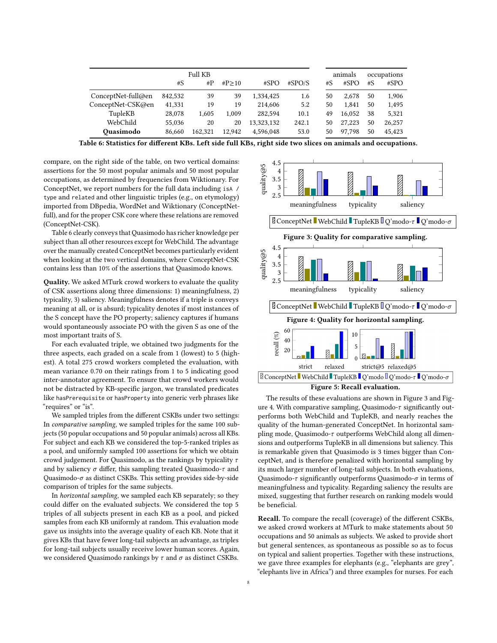<span id="page-7-0"></span>

| <b>Full KB</b>      |         |              |         |            |        |    | animals |    | occupations |  |
|---------------------|---------|--------------|---------|------------|--------|----|---------|----|-------------|--|
|                     | #S      | $_{\rm \#P}$ | #P > 10 | #SPO       | #SPO/S | #S | #SPO    | #S | #SPO        |  |
| ConceptNet-full@en  | 842,532 | 39           | 39      | 1.334.425  | 1.6    | 50 | 2.678   | 50 | 1,906       |  |
| ConceptNet-CSK@en   | 41,331  | 19           | 19      | 214,606    | 5.2    | 50 | 1.841   | 50 | 1,495       |  |
| TupleKB             | 28,078  | 1.605        | 1.009   | 282.594    | 10.1   | 49 | 16.052  | 38 | 5,321       |  |
| WebChild            | 55,036  | 20           | 20      | 13.323.132 | 242.1  | 50 | 27.223  | 50 | 26,257      |  |
| Ouasimodo<br>86.660 |         | 162.321      | 12.942  | 4.596.048  | 53.0   | 50 | 97.798  | 50 | 45.423      |  |

Table 6: Statistics for different KBs. Left side full KBs, right side two slices on animals and occupations.

compare, on the right side of the table, on two vertical domains: assertions for the 50 most popular animals and 50 most popular occupations, as determined by frequencies from Wiktionary. For ConceptNet, we report numbers for the full data including isA / type and related and other linguistic triples (e.g., on etymology) imported from DBpedia, WordNet and Wiktionary (ConceptNetfull), and for the proper CSK core where these relations are removed (ConceptNet-CSK).

Table [6](#page-7-0) clearly conveys that Quasimodo has richer knowledge per subject than all other resources except for WebChild. The advantage over the manually created ConceptNet becomes particularly evident when looking at the two vertical domains, where ConceptNet-CSK contains less than 10% of the assertions that Quasimodo knows.

Quality. We asked MTurk crowd workers to evaluate the quality of CSK assertions along three dimensions: 1) meaningfulness, 2) typicality, 3) saliency. Meaningfulness denotes if a triple is conveys meaning at all, or is absurd; typicality denotes if most instances of the S concept have the PO property; saliency captures if humans would spontaneously associate PO with the given S as one of the most important traits of S.

For each evaluated triple, we obtained two judgments for the three aspects, each graded on a scale from 1 (lowest) to 5 (highest). A total 275 crowd workers completed the evaluation, with mean variance 0.70 on their ratings from 1 to 5 indicating good inter-annotator agreement. To ensure that crowd workers would not be distracted by KB-specific jargon, we translated predicates like hasPrerequisite or hasProperty into generic verb phrases like "requires" or "is".

We sampled triples from the different CSKBs under two settings: In comparative sampling, we sampled triples for the same 100 subjects (50 popular occupations and 50 popular animals) across all KBs. For subject and each KB we considered the top-5-ranked triples as a pool, and uniformly sampled 100 assertions for which we obtain crowd judgement. For Quasimodo, as the rankings by typicality  $\tau$ and by saliency  $\sigma$  differ, this sampling treated Quasimodo- $\tau$  and Quasimodo- $\sigma$  as distinct CSKBs. This setting provides side-by-side comparison of triples for the same subjects.

In horizontal sampling, we sampled each KB separately; so they could differ on the evaluated subjects. We considered the top 5 triples of all subjects present in each KB as a pool, and picked samples from each KB uniformly at random. This evaluation mode gave us insights into the average quality of each KB. Note that it gives KBs that have fewer long-tail subjects an advantage, as triples for long-tail subjects usually receive lower human scores. Again, we considered Quasimodo rankings by  $\tau$  and  $\sigma$  as distinct CSKBs.

<span id="page-7-2"></span><span id="page-7-1"></span>

<span id="page-7-3"></span>The results of these evaluations are shown in Figure [3](#page-7-1) and Fig-ure [4.](#page-7-2) With comparative sampling, Quasimodo- $\tau$  significantly outperforms both WebChild and TupleKB, and nearly reaches the quality of the human-generated ConceptNet. In horizontal sampling mode, Quasimodo-τ outperforms WebChild along all dimensions and outperforms TupleKB in all dimensions but saliency. This is remarkable given that Quasimodo is 3 times bigger than ConceptNet, and is therefore penalized with horizontal sampling by its much larger number of long-tail subjects. In both evaluations, Quasimodo-τ significantly outperforms Quasimodo- $\sigma$  in terms of meaningfulness and typicality. Regarding saliency the results are mixed, suggesting that further research on ranking models would be beneficial.

Recall. To compare the recall (coverage) of the different CSKBs, we asked crowd workers at MTurk to make statements about 50 occupations and 50 animals as subjects. We asked to provide short but general sentences, as spontaneous as possible so as to focus on typical and salient properties. Together with these instructions, we gave three examples for elephants (e.g., "elephants are grey", "elephants live in Africa") and three examples for nurses. For each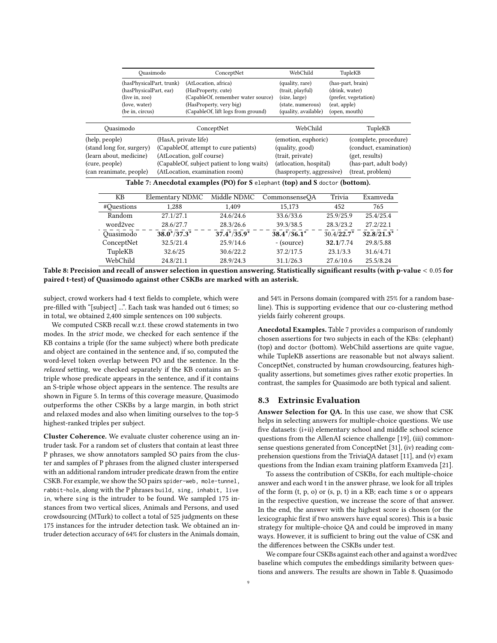<span id="page-8-0"></span>

|                                                     |                                                                                                          | Ouasimodo              | ConceptNet                                                                                                |                                                                                                                                                    |                                                                           | WebChild                                                                                                      |                                                             | TupleKB       |                                                 |
|-----------------------------------------------------|----------------------------------------------------------------------------------------------------------|------------------------|-----------------------------------------------------------------------------------------------------------|----------------------------------------------------------------------------------------------------------------------------------------------------|---------------------------------------------------------------------------|---------------------------------------------------------------------------------------------------------------|-------------------------------------------------------------|---------------|-------------------------------------------------|
|                                                     | (hasPhysicalPart, trunk)<br>(hasPhysicalPart, ear)<br>(live in, zoo)<br>(love, water)<br>(be in, circus) |                        |                                                                                                           | (AtLocation, africa)<br>(HasProperty, cute)<br>(CapableOf, remember water source)<br>(HasProperty, very big)<br>(CapableOf, lift logs from ground) | (quality, rare)<br>(trait, playful)<br>(size, large)<br>(state, numerous) | (eat, apple)                                                                                                  | (has-part, brain)<br>(drink, water)<br>(prefer, vegetation) |               |                                                 |
|                                                     |                                                                                                          |                        |                                                                                                           |                                                                                                                                                    |                                                                           | (quality, available)                                                                                          |                                                             | (open, mouth) |                                                 |
|                                                     | Quasimodo                                                                                                |                        |                                                                                                           | ConceptNet                                                                                                                                         |                                                                           | WebChild                                                                                                      |                                                             |               | TupleKB                                         |
|                                                     | (help, people)<br>(stand long for, surgery)                                                              |                        | (HasA, private life)<br>(CapableOf, attempt to cure patients)                                             |                                                                                                                                                    |                                                                           | (emotion, euphoric)<br>(quality, good)                                                                        |                                                             |               | (complete, procedure)<br>(conduct, examination) |
| (learn about, medicine)<br>(cure, people)           |                                                                                                          |                        | (AtLocation, golf course)<br>(CapableOf, subject patient to long waits)<br>(AtLocation, examination room) |                                                                                                                                                    |                                                                           | (trait, private)<br>(get, results)<br>(atlocation, hospital)<br>(treat, problem)<br>(hasproperty, aggressive) |                                                             |               | (has-part, adult body)                          |
|                                                     | (can reanimate, people)                                                                                  |                        |                                                                                                           | Table 7: Anecdotal examples (PO) for S elephant (top) and S doctor (bottom).                                                                       |                                                                           |                                                                                                               |                                                             |               |                                                 |
|                                                     | KB                                                                                                       | <b>Elementary NDMC</b> |                                                                                                           | Middle NDMC                                                                                                                                        |                                                                           | CommonsenseQA                                                                                                 | Trivia                                                      |               | Examveda                                        |
|                                                     | #Questions                                                                                               | 1,288                  |                                                                                                           | 1,409                                                                                                                                              |                                                                           | 15,173                                                                                                        | 452                                                         |               | 765                                             |
|                                                     | Random<br>27.1/27.1                                                                                      |                        |                                                                                                           | 24.6/24.6                                                                                                                                          |                                                                           | 33.6/33.6                                                                                                     | 25.9/25.9                                                   |               | 25.4/25.4                                       |
| word2vec<br>28.6/27.7<br>$38.0*/37.3*$<br>Ouasimodo |                                                                                                          |                        | 28.3/26.6                                                                                                 |                                                                                                                                                    | 39.3/38.5                                                                 | 28.3/23.2                                                                                                     |                                                             | 27.2/22.1     |                                                 |
|                                                     |                                                                                                          |                        |                                                                                                           | $37.4*/35.9*$                                                                                                                                      |                                                                           | $38.4*/36.1*$                                                                                                 | $30.4/22.7*$                                                |               | $32.8/21.3*$                                    |
|                                                     | ConceptNet                                                                                               | 32.5/21.4              |                                                                                                           | 25.9/14.6                                                                                                                                          |                                                                           | - (source)                                                                                                    | 32.1/7.74                                                   |               | 29.8/5.88                                       |
|                                                     | TupleKB                                                                                                  | 32.6/25                |                                                                                                           | 30.6/22.2                                                                                                                                          |                                                                           | 37.2/17.5                                                                                                     | 23.1/3.3                                                    |               | 31.6/4.71                                       |
|                                                     | WebChild                                                                                                 | 24.8/21.1              |                                                                                                           | 28.9/24.3                                                                                                                                          |                                                                           | 31.1/26.3                                                                                                     | 27.6/10.6                                                   |               | 25.5/8.24                                       |

<span id="page-8-1"></span>Table 8: Precision and recall of answer selection in question answering. Statistically significant results (with p-value < <sup>0</sup>.<sup>05</sup> for paired t-test) of Quasimodo against other CSKBs are marked with an asterisk.

subject, crowd workers had 4 text fields to complete, which were pre-filled with "[subject] ...". Each task was handed out 6 times; so in total, we obtained 2,400 simple sentences on 100 subjects.

We computed CSKB recall w.r.t. these crowd statements in two modes. In the strict mode, we checked for each sentence if the KB contains a triple (for the same subject) where both predicate and object are contained in the sentence and, if so, computed the word-level token overlap between PO and the sentence. In the relaxed setting, we checked separately if the KB contains an Striple whose predicate appears in the sentence, and if it contains an S-triple whose object appears in the sentence. The results are shown in Figure [5.](#page-7-3) In terms of this coverage measure, Quasimodo outperforms the other CSKBs by a large margin, in both strict and relaxed modes and also when limiting ourselves to the top-5 highest-ranked triples per subject.

Cluster Coherence. We evaluate cluster coherence using an intruder task. For a random set of clusters that contain at least three P phrases, we show annotators sampled SO pairs from the cluster and samples of P phrases from the aligned cluster interspersed with an additional random intruder predicate drawn from the entire CSKB. For example, we show the SO pairs spider-web, mole-tunnel, rabbit-hole, along with the P phrases build, sing, inhabit, live in, where sing is the intruder to be found. We sampled 175 instances from two vertical slices, Animals and Persons, and used crowdsourcing (MTurk) to collect a total of 525 judgments on these 175 instances for the intruder detection task. We obtained an intruder detection accuracy of 64% for clusters in the Animals domain,

and 54% in Persons domain (compared with 25% for a random baseline). This is supporting evidence that our co-clustering method yields fairly coherent groups.

Anecdotal Examples. Table [7](#page-8-0) provides a comparison of randomly chosen assertions for two subjects in each of the KBs: (elephant) (top) and doctor (bottom). WebChild assertions are quite vague, while TupleKB assertions are reasonable but not always salient. ConceptNet, constructed by human crowdsourcing, features highquality assertions, but sometimes gives rather exotic properties. In contrast, the samples for Quasimodo are both typical and salient.

#### 8.3 Extrinsic Evaluation

Answer Selection for QA. In this use case, we show that CSK helps in selecting answers for multiple-choice questions. We use five datasets: (i+ii) elementary school and middle school science questions from the AllenAI science challenge [\[19\]](#page-9-38), (iii) commonsense questions generated from ConceptNet [\[31\]](#page-9-39), (iv) reading comprehension questions from the TriviaQA dataset [\[11\]](#page-9-40), and (v) exam questions from the Indian exam training platform Examveda [\[21\]](#page-9-41).

To assess the contribution of CSKBs, for each multiple-choice answer and each word t in the answer phrase, we look for all triples of the form (t, p, o) or (s, p, t) in a KB; each time s or o appears in the respective question, we increase the score of that answer. In the end, the answer with the highest score is chosen (or the lexicographic first if two answers have equal scores). This is a basic strategy for multiple-choice QA and could be improved in many ways. However, it is sufficient to bring out the value of CSK and the differences between the CSKBs under test.

We compare four CSKBs against each other and against a word2vec baseline which computes the embeddings similarity between questions and answers. The results are shown in Table [8.](#page-8-1) Quasimodo